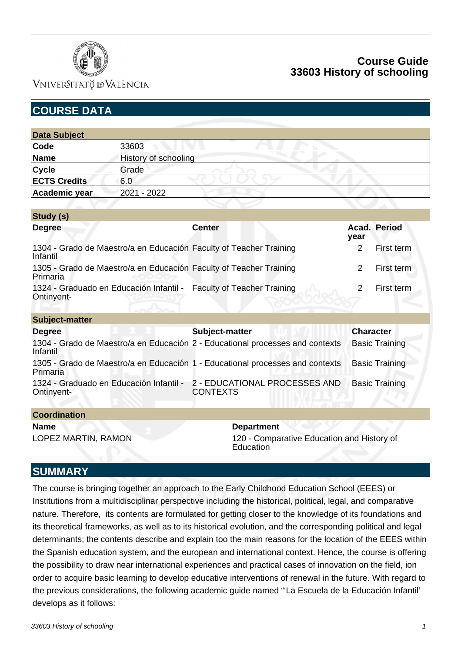

### VNIVERSITATÖ ID VALÈNCIA

# **Course Guide 33603 History of schooling**

| <b>COURSE DATA</b>                                                                        |                      |                                                                     |                |                       |  |  |
|-------------------------------------------------------------------------------------------|----------------------|---------------------------------------------------------------------|----------------|-----------------------|--|--|
|                                                                                           |                      |                                                                     |                |                       |  |  |
| <b>Data Subject</b>                                                                       |                      |                                                                     |                |                       |  |  |
| Code                                                                                      | 33603                |                                                                     |                |                       |  |  |
| <b>Name</b>                                                                               | History of schooling |                                                                     |                |                       |  |  |
| <b>Cycle</b>                                                                              | Grade                |                                                                     |                |                       |  |  |
| <b>ECTS Credits</b>                                                                       | 6.0                  |                                                                     |                |                       |  |  |
| Academic year                                                                             | 2021 - 2022          |                                                                     |                |                       |  |  |
|                                                                                           |                      |                                                                     |                |                       |  |  |
| Study (s)                                                                                 |                      |                                                                     |                |                       |  |  |
| <b>Degree</b>                                                                             |                      | <b>Center</b>                                                       | year           | Acad. Period          |  |  |
| 1304 - Grado de Maestro/a en Educación Faculty of Teacher Training<br>Infantil            |                      |                                                                     | $\overline{2}$ | First term            |  |  |
| 1305 - Grado de Maestro/a en Educación Faculty of Teacher Training<br>Primaria            |                      |                                                                     | 2              | First term            |  |  |
| Ontinyent-                                                                                |                      | 1324 - Graduado en Educación Infantil - Faculty of Teacher Training | 2              | First term            |  |  |
| <b>Subject-matter</b>                                                                     |                      |                                                                     |                |                       |  |  |
| <b>Degree</b>                                                                             |                      | Subject-matter                                                      |                | <b>Character</b>      |  |  |
| 1304 - Grado de Maestro/a en Educación 2 - Educational processes and contexts<br>Infantil |                      |                                                                     |                | <b>Basic Training</b> |  |  |
| 1305 - Grado de Maestro/a en Educación 1 - Educational processes and contexts<br>Primaria |                      |                                                                     |                | <b>Basic Training</b> |  |  |
| 1324 - Graduado en Educación Infantil - 2 - EDUCATIONAL PROCESSES AND<br>Ontinyent-       |                      | <b>CONTEXTS</b>                                                     |                | <b>Basic Training</b> |  |  |
| <b>Coordination</b>                                                                       |                      |                                                                     |                |                       |  |  |
| <b>Name</b>                                                                               |                      | <b>Department</b>                                                   |                |                       |  |  |
| LOPEZ MARTIN, RAMON                                                                       |                      | 120 - Comparative Education and History of                          |                |                       |  |  |

## **SUMMARY**

The course is bringing together an approach to the Early Childhood Education School (EEES) or Institutions from a multidisciplinar perspective including the historical, political, legal, and comparative nature. Therefore, its contents are formulated for getting closer to the knowledge of its foundations and its theoretical frameworks, as well as to its historical evolution, and the corresponding political and legal determinants; the contents describe and explain too the main reasons for the location of the EEES within the Spanish education system, and the european and international context. Hence, the course is offering the possibility to draw near international experiences and practical cases of innovation on the field, ion order to acquire basic learning to develop educative interventions of renewal in the future. With regard to the previous considerations, the following academic guide named "'La Escuela de la Educación Infantil' develops as it follows:

**Education**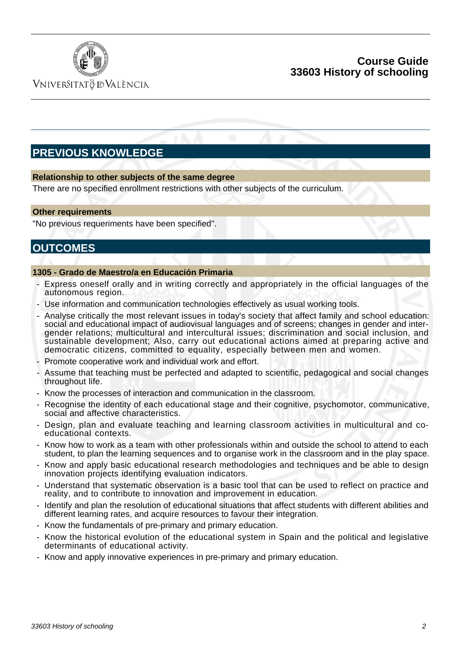

VNIVERSITATÖ IDVALÈNCIA

### **Course Guide 33603 History of schooling**

# **PREVIOUS KNOWLEDGE**

#### **Relationship to other subjects of the same degree**

There are no specified enrollment restrictions with other subjects of the curriculum.

#### **Other requirements**

"No previous requeriments have been specified".

# **OUTCOMES**

#### **1305 - Grado de Maestro/a en Educación Primaria**

- Express oneself orally and in writing correctly and appropriately in the official languages of the autonomous region.
- Use information and communication technologies effectively as usual working tools.
- Analyse critically the most relevant issues in today's society that affect family and school education: social and educational impact of audiovisual languages and of screens; changes in gender and intergender relations; multicultural and intercultural issues; discrimination and social inclusion, and sustainable development; Also, carry out educational actions aimed at preparing active and democratic citizens, committed to equality, especially between men and women.
- Promote cooperative work and individual work and effort.
- Assume that teaching must be perfected and adapted to scientific, pedagogical and social changes throughout life.
- Know the processes of interaction and communication in the classroom.
- Recognise the identity of each educational stage and their cognitive, psychomotor, communicative, social and affective characteristics.
- Design, plan and evaluate teaching and learning classroom activities in multicultural and coeducational contexts.
- Know how to work as a team with other professionals within and outside the school to attend to each student, to plan the learning sequences and to organise work in the classroom and in the play space.
- Know and apply basic educational research methodologies and techniques and be able to design innovation projects identifying evaluation indicators.
- Understand that systematic observation is a basic tool that can be used to reflect on practice and reality, and to contribute to innovation and improvement in education.
- Identify and plan the resolution of educational situations that affect students with different abilities and different learning rates, and acquire resources to favour their integration.
- Know the fundamentals of pre-primary and primary education.
- Know the historical evolution of the educational system in Spain and the political and legislative determinants of educational activity.
- Know and apply innovative experiences in pre-primary and primary education.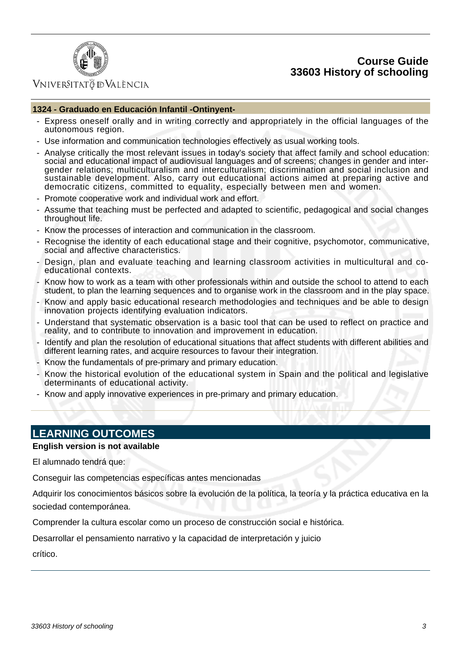### **Course Guide 33603 History of schooling**



### VNIVERSITATÖ ID VALÈNCIA

#### **1324 - Graduado en Educación Infantil -Ontinyent-**

- Express oneself orally and in writing correctly and appropriately in the official languages of the autonomous region.
- Use information and communication technologies effectively as usual working tools.
- Analyse critically the most relevant issues in today's society that affect family and school education: social and educational impact of audiovisual languages and of screens; changes in gender and intergender relations; multiculturalism and interculturalism; discrimination and social inclusion and sustainable development. Also, carry out educational actions aimed at preparing active and democratic citizens, committed to equality, especially between men and women.
- Promote cooperative work and individual work and effort.
- Assume that teaching must be perfected and adapted to scientific, pedagogical and social changes throughout life.
- Know the processes of interaction and communication in the classroom.
- Recognise the identity of each educational stage and their cognitive, psychomotor, communicative, social and affective characteristics.
- Design, plan and evaluate teaching and learning classroom activities in multicultural and coeducational contexts.
- Know how to work as a team with other professionals within and outside the school to attend to each student, to plan the learning sequences and to organise work in the classroom and in the play space.
- Know and apply basic educational research methodologies and techniques and be able to design innovation projects identifying evaluation indicators.
- Understand that systematic observation is a basic tool that can be used to reflect on practice and reality, and to contribute to innovation and improvement in education.
- Identify and plan the resolution of educational situations that affect students with different abilities and different learning rates, and acquire resources to favour their integration.
- Know the fundamentals of pre-primary and primary education.
- Know the historical evolution of the educational system in Spain and the political and legislative determinants of educational activity.
- Know and apply innovative experiences in pre-primary and primary education.

# **LEARNING OUTCOMES**

#### **English version is not available**

El alumnado tendrá que:

Conseguir las competencias específicas antes mencionadas

Adquirir los conocimientos básicos sobre la evolución de la política, la teoría y la práctica educativa en la sociedad contemporánea.

Comprender la cultura escolar como un proceso de construcción social e histórica.

Desarrollar el pensamiento narrativo y la capacidad de interpretación y juicio

crítico.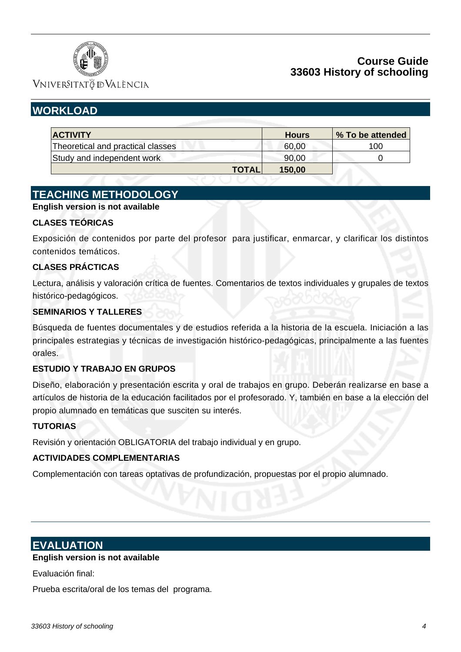

## **Course Guide 33603 History of schooling**

**VNIVERSITATÖ IDVALÈNCIA** 

# **WORKLOAD**

| <b>ACTIVITY</b>                   | <b>Hours</b> | % To be attended |     |
|-----------------------------------|--------------|------------------|-----|
| Theoretical and practical classes |              | 60,00            | 100 |
| Study and independent work        |              | 90,00            |     |
|                                   | <b>TOTAL</b> | 150,00           |     |

# **TEACHING METHODOLOGY**

#### **English version is not available**

#### **CLASES TEÓRICAS**

Exposición de contenidos por parte del profesor para justificar, enmarcar, y clarificar los distintos contenidos temáticos.

#### **CLASES PRÁCTICAS**

Lectura, análisis y valoración crítica de fuentes. Comentarios de textos individuales y grupales de textos histórico-pedagógicos.

#### **SEMINARIOS Y TALLERES**

Búsqueda de fuentes documentales y de estudios referida a la historia de la escuela. Iniciación a las principales estrategias y técnicas de investigación histórico-pedagógicas, principalmente a las fuentes orales.

#### **ESTUDIO Y TRABAJO EN GRUPOS**

Diseño, elaboración y presentación escrita y oral de trabajos en grupo. Deberán realizarse en base a artículos de historia de la educación facilitados por el profesorado. Y, también en base a la elección del propio alumnado en temáticas que susciten su interés.

#### **TUTORIAS**

Revisión y orientación OBLIGATORIA del trabajo individual y en grupo.

#### **ACTIVIDADES COMPLEMENTARIAS**

Complementación con tareas optativas de profundización, propuestas por el propio alumnado.

## **EVALUATION**

#### **English version is not available**

Evaluación final:

Prueba escrita/oral de los temas del programa.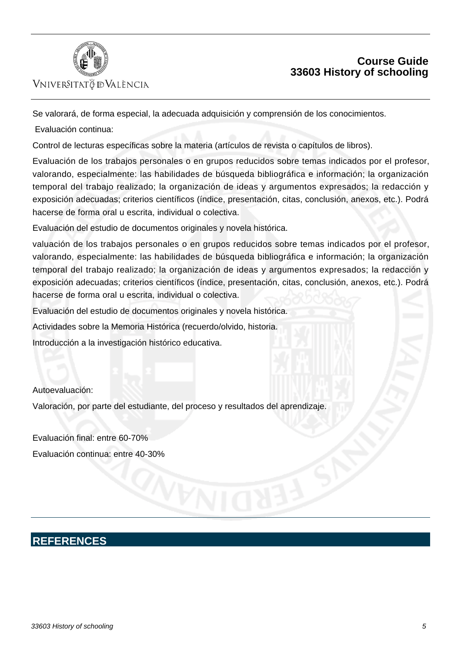

### VNIVERSITATÖ ID VALÈNCIA

# **Course Guide 33603 History of schooling**

Se valorará, de forma especial, la adecuada adquisición y comprensión de los conocimientos.

Evaluación continua:

Control de lecturas específicas sobre la materia (artículos de revista o capítulos de libros).

Evaluación de los trabajos personales o en grupos reducidos sobre temas indicados por el profesor, valorando, especialmente: las habilidades de búsqueda bibliográfica e información; la organización temporal del trabajo realizado; la organización de ideas y argumentos expresados; la redacción y exposición adecuadas; criterios científicos (índice, presentación, citas, conclusión, anexos, etc.). Podrá hacerse de forma oral u escrita, individual o colectiva.

Evaluación del estudio de documentos originales y novela histórica.

valuación de los trabajos personales o en grupos reducidos sobre temas indicados por el profesor, valorando, especialmente: las habilidades de búsqueda bibliográfica e información; la organización temporal del trabajo realizado; la organización de ideas y argumentos expresados; la redacción y exposición adecuadas; criterios científicos (índice, presentación, citas, conclusión, anexos, etc.). Podrá hacerse de forma oral u escrita, individual o colectiva.

Evaluación del estudio de documentos originales y novela histórica.

Actividades sobre la Memoria Histórica (recuerdo/olvido, historia.

Introducción a la investigación histórico educativa.

Autoevaluación:

Valoración, por parte del estudiante, del proceso y resultados del aprendizaje.

Evaluación final: entre 60-70% Evaluación continua: entre 40-30%

# **REFERENCES**